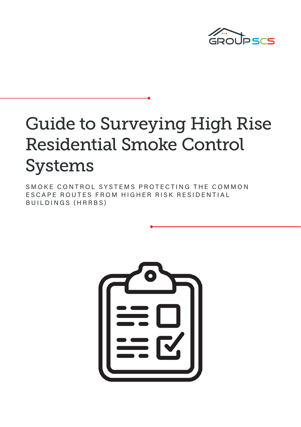

# Guide to Surveying High Rise Residential Smoke Control Systems

SMOKE CONTROL SYSTEMS PROTECTING THE COMMON ESCAPE ROUTES FROM HIGHER RISK RESIDENTIAL BUILDINGS (HRRBS)

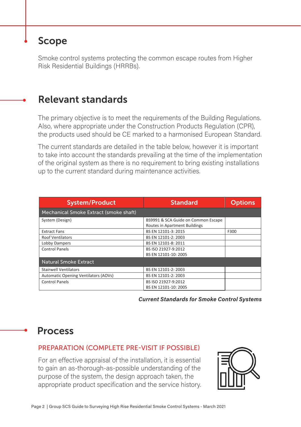### Scope

Smoke control systems protecting the common escape routes from Higher Risk Residential Buildings (HRRBs).

### Relevant standards

The primary objective is to meet the requirements of the Building Regulations. Also, where appropriate under the Construction Products Regulation (CPR), the products used should be CE marked to a harmonised European Standard.

The current standards are detailed in the table below, however it is important to take into account the standards prevailing at the time of the implementation of the original system as there is no requirement to bring existing installations up to the current standard during maintenance activities.

| <b>System/Product</b>                  | <b>Standard</b>                                                      | <b>Options</b> |
|----------------------------------------|----------------------------------------------------------------------|----------------|
| Mechanical Smoke Extract (smoke shaft) |                                                                      |                |
| System (Design)                        | BS9991 & SCA Guide on Common Escape<br>Routes in Apartment Buildings |                |
| <b>Extract Fans</b>                    | BS EN 12101-3: 2015                                                  | F300           |
| <b>Roof Ventilators</b>                | BS EN 12101-2: 2003                                                  |                |
| Lobby Dampers                          | BS EN 12101-8: 2011                                                  |                |
| Control Panels                         | BS ISO 21927-9:2012                                                  |                |
|                                        | BS EN 12101-10: 2005                                                 |                |
| <b>Natural Smoke Extract</b>           |                                                                      |                |
| <b>Stairwell Ventilators</b>           | BS EN 12101-2: 2003                                                  |                |
| Automatic Opening Ventilators (AOVs)   | BS EN 12101-2: 2003                                                  |                |
| Control Panels                         | BS ISO 21927-9:2012                                                  |                |
|                                        | BS EN 12101-10: 2005                                                 |                |

*Current Standards for Smoke Control Systems*

### Process

### PREPARATION (COMPLETE PRE-VISIT IF POSSIBLE)

For an effective appraisal of the installation, it is essential to gain an as-thorough-as-possible understanding of the purpose of the system, the design approach taken, the appropriate product specification and the service history.

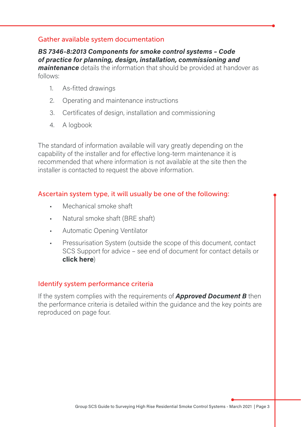#### Gather available system documentation

*BS 7346-8:2013 Components for smoke control systems – Code of practice for planning, design, installation, commissioning and maintenance* details the information that should be provided at handover as follows:

- 1. As-fitted drawings
- 2. Operating and maintenance instructions
- 3. Certificates of design, installation and commissioning
- 4. A logbook

The standard of information available will vary greatly depending on the capability of the installer and for effective long-term maintenance it is recommended that where information is not available at the site then the installer is contacted to request the above information.

### Ascertain system type, it will usually be one of the following:

- Mechanical smoke shaft
- Natural smoke shaft (BRE shaft)
- Automatic Opening Ventilator
- Pressurisation System (outside the scope of this document, contact SCS Support for advice – see end of document for contact details or **[click here](https://groupscs.co.uk/support-and-aftercare/)**)

#### Identify system performance criteria

If the system complies with the requirements of *[Approved Document B](https://www.gov.uk/government/publications/fire-safety-approved-document-b)* then the performance criteria is detailed within the guidance and the key points are reproduced on page four.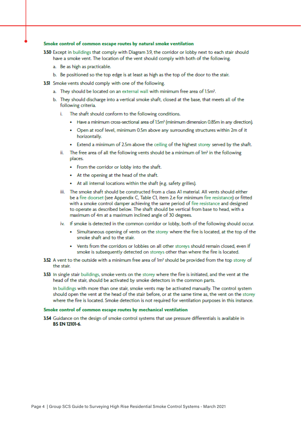#### Smoke control of common escape routes by natural smoke ventilation

- 3.50 Except in buildings that comply with Diagram 3.9, the corridor or lobby next to each stair should have a smoke vent. The location of the vent should comply with both of the following.
	- a. Be as high as practicable.
	- b. Be positioned so the top edge is at least as high as the top of the door to the stair.
- 3.51 Smoke vents should comply with one of the following.
	- a. They should be located on an external wall with minimum free area of 1.5m<sup>2</sup>.
	- b. They should discharge into a vertical smoke shaft, closed at the base, that meets all of the following criteria.
		- The shaft should conform to the following conditions.
			- Have a minimum cross-sectional area of 1.5m<sup>2</sup> (minimum dimension 0.85m in any direction).
			- Open at roof level, minimum 0.5m above any surrounding structures within 2m of it horizontally.
			- Extend a minimum of 2.5m above the ceiling of the highest storey served by the shaft.
		- ii. The free area of all the following vents should be a minimum of 1m<sup>2</sup> in the following places.
			- From the corridor or lobby into the shaft.
			- At the opening at the head of the shaft.
			- At all internal locations within the shaft (e.g. safety grilles).
		- iii. The smoke shaft should be constructed from a class Al material. All vents should either be a fire doorset (see Appendix C. Table CI. item 2.e for minimum fire resistance) or fitted with a smoke control damper achieving the same period of fire resistance and designed to operate as described below. The shaft should be vertical from base to head, with a maximum of 4m at a maximum inclined angle of 30 degrees.
		- iv. If smoke is detected in the common corridor or lobby, both of the following should occur.
			- Simultaneous opening of vents on the storey where the fire is located, at the top of the smoke shaft and to the stair.
			- Vents from the corridors or lobbies on all other storeys should remain closed, even if smoke is subsequently detected on storeys other than where the fire is located.
- 3.52 A vent to the outside with a minimum free area of 1m<sup>2</sup> should be provided from the top storey of the stair.
- 3.53 In single stair buildings, smoke vents on the storey where the fire is initiated, and the vent at the head of the stair, should be activated by smoke detectors in the common parts.

In buildings with more than one stair, smoke vents may be activated manually. The control system should open the vent at the head of the stair before, or at the same time as, the vent on the storey where the fire is located. Smoke detection is not required for ventilation purposes in this instance.

#### Smoke control of common escape routes by mechanical ventilation

3.54 Guidance on the design of smoke control systems that use pressure differentials is available in **BS EN 12101-6.**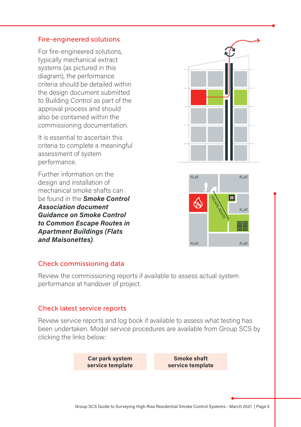#### Fire-engineered solutions

For fire-engineered solutions, typically mechanical extract systems (as pictured in this diagram), the performance criteria should be detailed within the design document submitted to Building Control as part of the approval process and should also be contained within the commissioning documentation.

It is essential to ascertain this criteria to complete a meaningful assessment of system performance.

Further information on the design and installation of mechanical smoke shafts can be found in the *[Smoke Control](https://www.smokecontrol.org.uk/resources)  [Association document](https://www.smokecontrol.org.uk/resources)  [Guidance on Smoke Control](https://www.smokecontrol.org.uk/resources)  [to Common Escape Routes in](https://www.smokecontrol.org.uk/resources)  [Apartment Buildings \(Flats](https://www.smokecontrol.org.uk/resources)  [and Maisonettes\)](https://www.smokecontrol.org.uk/resources)*.



#### Check commissioning data

Review the commissioning reports if available to assess actual system performance at handover of project.

#### Check latest service reports

Review service reports and log book if available to assess what testing has been undertaken. Model service procedures are available from Group SCS by clicking the links below:

> **[Car park system](https://news.groupscs.co.uk/hubfs/Guides%20+%20Brochures/Surveying%20Guide%20-%20March2021/GroupSCS_CarParkSystemServiceTemplate.pdf)  [service template](https://news.groupscs.co.uk/hubfs/Guides%20+%20Brochures/Surveying%20Guide%20-%20March2021/GroupSCS_CarParkSystemServiceTemplate.pdf)**

**[Smoke shaft](https://news.groupscs.co.uk/hubfs/Guides%20+%20Brochures/Surveying%20Guide%20-%20March2021/GroupSCS_SmokeShaftServiceTemplate.pdf)  [service template](https://news.groupscs.co.uk/hubfs/Guides%20+%20Brochures/Surveying%20Guide%20-%20March2021/GroupSCS_SmokeShaftServiceTemplate.pdf)**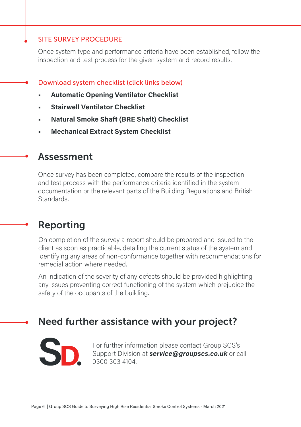#### SITE SURVEY PROCEDURE

Once system type and performance criteria have been established, follow the inspection and test process for the given system and record results.

- Download system checklist (click links below)
	- **• [Automatic Opening Ventilator Checklist](https://news.groupscs.co.uk/hubfs/Guides%20+%20Brochures/Surveying%20Guide%20-%20March2021/GroupSCS_AOV_Checklist.pdf)**
	- **• [Stairwell Ventilator Checklist](https://news.groupscs.co.uk/hubfs/Guides%20+%20Brochures/Surveying%20Guide%20-%20March2021/GroupSCS_StairwellVentilator_Checklist.pdf)**
- **• [Natural Smoke Shaft \(BRE Shaft\) Checklist](https://news.groupscs.co.uk/hubfs/Guides%20+%20Brochures/Surveying%20Guide%20-%20March2021/GroupSCS_NaturalSmokeShaft-BREShaft_Checklist.pdf)**
- **• [Mechanical Extract System Checklist](https://news.groupscs.co.uk/hubfs/Guides%20+%20Brochures/Surveying%20Guide%20-%20March2021/GroupSCS_MechanicalExtractSystem_Checklist.pdf)**

### Assessment

Once survey has been completed, compare the results of the inspection and test process with the performance criteria identified in the system documentation or the relevant parts of the Building Regulations and British Standards.

### Reporting

On completion of the survey a report should be prepared and issued to the client as soon as practicable, detailing the current status of the system and identifying any areas of non-conformance together with recommendations for remedial action where needed.

An indication of the severity of any defects should be provided highlighting any issues preventing correct functioning of the system which prejudice the safety of the occupants of the building.

### Need further assistance with your project?



For further information please contact Group SCS's Support Division at *[service@groupscs.co.uk](mailto:service%40groupscs.co.uk?subject=)* or call 0300 303 4104.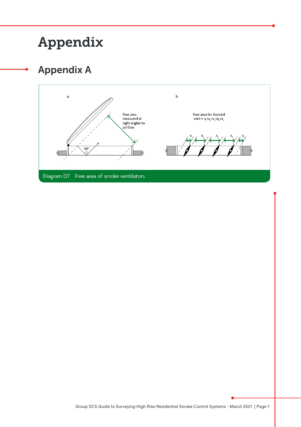## Appendix

## Appendix A